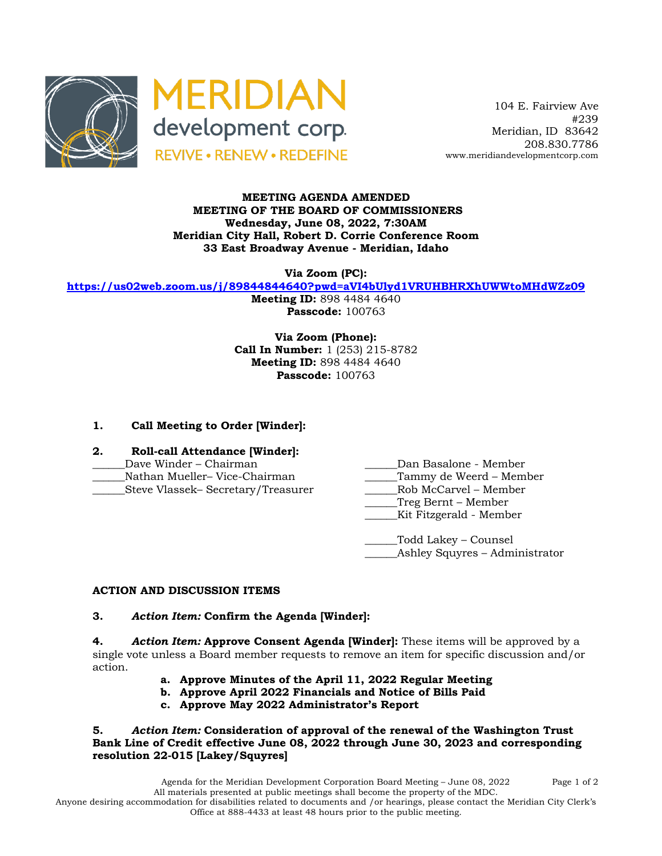



 104 E. Fairview Ave #239 Meridian, ID 83642 208.830.7786 www.meridiandevelopmentcorp.com

### **MEETING AGENDA AMENDED MEETING OF THE BOARD OF COMMISSIONERS Wednesday, June 08, 2022, 7:30AM Meridian City Hall, Robert D. Corrie Conference Room 33 East Broadway Avenue - Meridian, Idaho**

**Via Zoom (PC):**

**https://us02web.zoom.us/j/89844844640?pwd=aVI4bUlyd1VRUHBHRXhUWWtoMHdWZz09**

**Meeting ID:** 898 4484 4640 **Passcode:** 100763

**Via Zoom (Phone): Call In Number:** 1 (253) 215-8782 **Meeting ID:** 898 4484 4640 **Passcode:** 100763

# **1. Call Meeting to Order [Winder]:**

- **2. Roll-call Attendance [Winder]:**
- Dave Winder Chairman **Dan Basalone Member**
- \_\_\_\_\_\_Nathan Mueller– Vice-Chairman \_\_\_\_\_\_Tammy de Weerd Member
- \_\_\_\_\_\_Steve Vlassek– Secretary/Treasurer \_\_\_\_\_\_Rob McCarvel Member
- 
- -
	- \_\_\_\_\_\_Treg Bernt Member
	- \_\_\_\_\_\_Kit Fitzgerald Member

\_\_\_\_\_\_Todd Lakey – Counsel Ashley Squyres – Administrator

## **ACTION AND DISCUSSION ITEMS**

#### **3.** *Action Item:* **Confirm the Agenda [Winder]:**

**4.** *Action Item:* **Approve Consent Agenda [Winder]:** These items will be approved by a single vote unless a Board member requests to remove an item for specific discussion and/or action.

- **a. Approve Minutes of the April 11, 2022 Regular Meeting**
- **b. Approve April 2022 Financials and Notice of Bills Paid**
- **c. Approve May 2022 Administrator's Report**

**5.** *Action Item:* **Consideration of approval of the renewal of the Washington Trust Bank Line of Credit effective June 08, 2022 through June 30, 2023 and corresponding resolution 22-015 [Lakey/Squyres]**